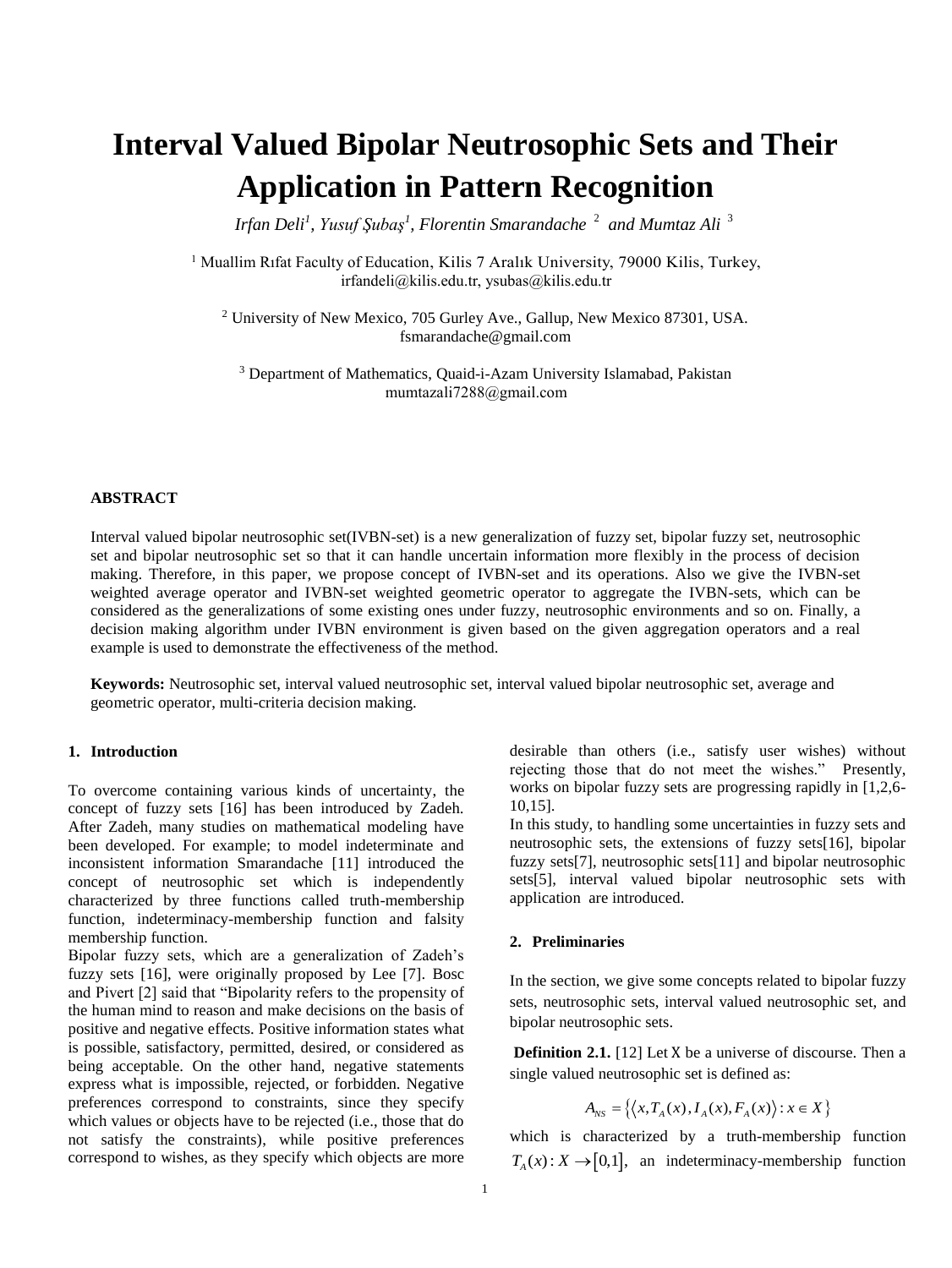# **Interval Valued Bipolar Neutrosophic Sets and Their Application in Pattern Recognition**

*Irfan Deli<sup>1</sup> , Yusuf Şubaş<sup>1</sup> , Florentin Smarandache* 2 *and Mumtaz Ali*  3

<sup>1</sup> Muallim Rıfat Faculty of Education, Kilis 7 Aralık University, 79000 Kilis, Turkey, irfandeli@kilis.edu.tr, ysubas@kilis.edu.tr

<sup>2</sup> University of New Mexico, 705 Gurley Ave., Gallup, New Mexico 87301, USA. [fsmarandache@gmail.com](mailto:fsmarandache@gmail.com)

<sup>3</sup> Department of Mathematics, Quaid-i-Azam University Islamabad, Pakistan mumtazali7288@gmail.com

#### **ABSTRACT**

Interval valued bipolar neutrosophic set(IVBN-set) is a new generalization of fuzzy set, bipolar fuzzy set, neutrosophic set and bipolar neutrosophic set so that it can handle uncertain information more flexibly in the process of decision making. Therefore, in this paper, we propose concept of IVBN-set and its operations. Also we give the IVBN-set weighted average operator and IVBN-set weighted geometric operator to aggregate the IVBN-sets, which can be considered as the generalizations of some existing ones under fuzzy, neutrosophic environments and so on. Finally, a decision making algorithm under IVBN environment is given based on the given aggregation operators and a real example is used to demonstrate the effectiveness of the method.

**Keywords:** Neutrosophic set, interval valued neutrosophic set, interval valued bipolar neutrosophic set, average and geometric operator, multi-criteria decision making.

#### **1. Introduction**

To overcome containing various kinds of uncertainty, the concept of fuzzy sets [16] has been introduced by Zadeh. After Zadeh, many studies on mathematical modeling have been developed. For example; to model indeterminate and inconsistent information Smarandache [11] introduced the concept of neutrosophic set which is independently characterized by three functions called truth-membership function, indeterminacy-membership function and falsity membership function.

Bipolar fuzzy sets, which are a generalization of Zadeh's fuzzy sets [16], were originally proposed by Lee [7]. Bosc and Pivert [2] said that "Bipolarity refers to the propensity of the human mind to reason and make decisions on the basis of positive and negative effects. Positive information states what is possible, satisfactory, permitted, desired, or considered as being acceptable. On the other hand, negative statements express what is impossible, rejected, or forbidden. Negative preferences correspond to constraints, since they specify which values or objects have to be rejected (i.e., those that do not satisfy the constraints), while positive preferences correspond to wishes, as they specify which objects are more

desirable than others (i.e., satisfy user wishes) without rejecting those that do not meet the wishes." Presently, works on bipolar fuzzy sets are progressing rapidly in [1,2,6- 10,15].

In this study, to handling some uncertainties in fuzzy sets and neutrosophic sets, the extensions of fuzzy sets[16], bipolar fuzzy sets[7], neutrosophic sets[11] and bipolar neutrosophic sets[5], interval valued bipolar neutrosophic sets with application are introduced.

#### **2. Preliminaries**

In the section, we give some concepts related to bipolar fuzzy sets, neutrosophic sets, interval valued neutrosophic set, and bipolar neutrosophic sets.

**Definition 2.1.** [12] Let X be a universe of discourse. Then a single valued neutrosophic set is defined as:

$$
A_{NS} = \left\{ \left\langle x, T_A(x), I_A(x), F_A(x) \right\rangle : x \in X \right\}
$$

which is characterized by a truth-membership function  $T_A(x): X \to [0,1]$ , an indeterminacy-membership function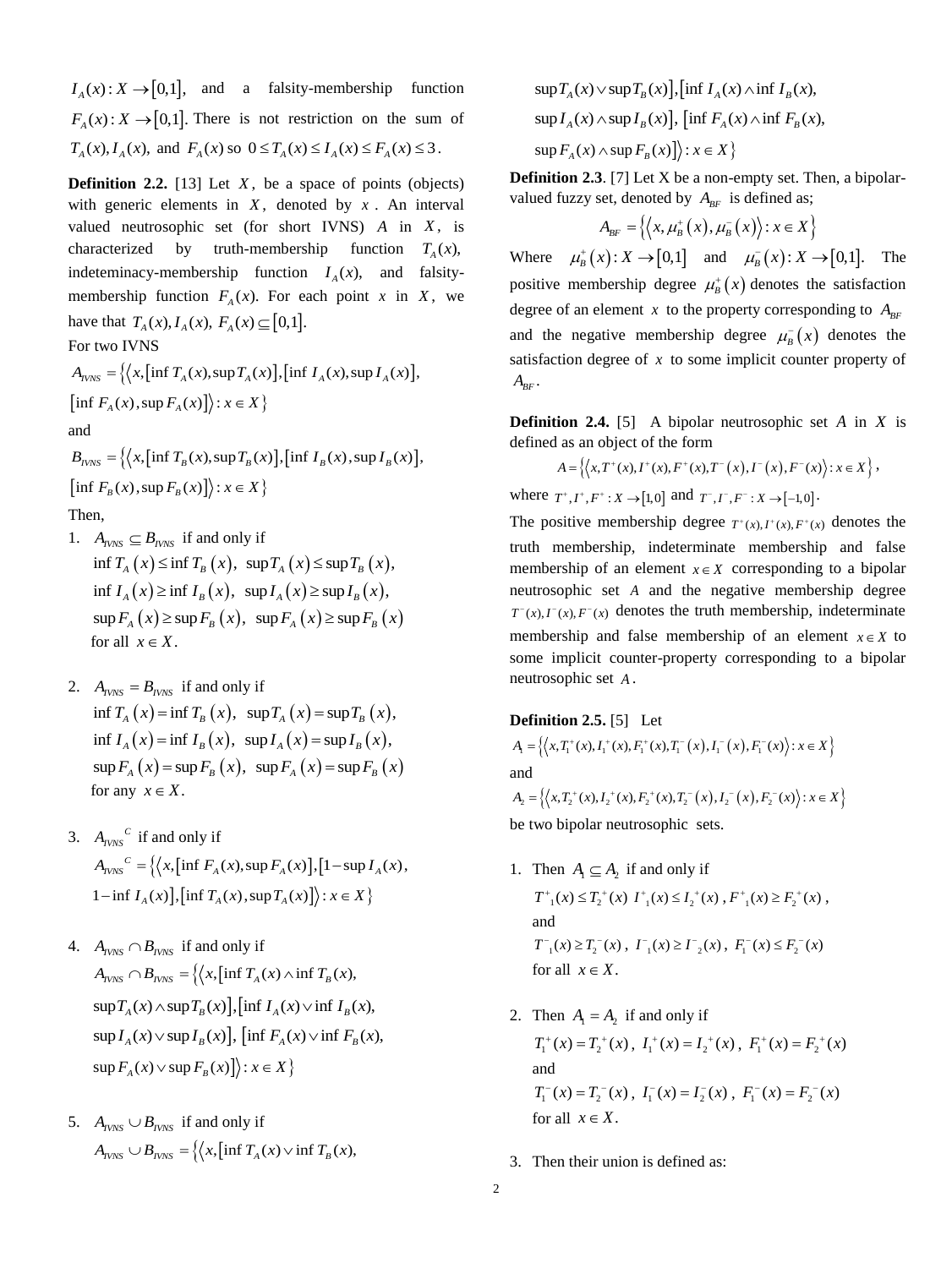$I_A(x): X \to [0,1]$ , and a falsity-membership function  $F_A(x): X \to [0,1]$ . There is not restriction on the sum of  $T_A(x)$ ,  $I_A(x)$ , and  $F_A(x)$  so  $0 \le T_A(x) \le I_A(x) \le F_A(x) \le 3$ .

**Definition 2.2.** [13] Let  $X$ , be a space of points (objects) with generic elements in  $X$ , denoted by  $x$ . An interval valued neutrosophic set (for short IVNS)  $A$  in  $X$ , is characterized by truth-membership function  $T_A(x)$ , indeteminacy-membership function  $I_A(x)$ , and falsitymembership function  $F_A(x)$ . For each point x in X, we have that  $T_A(x), I_A(x), F_A(x) \subseteq [0,1]$ .

For two IVNS

$$
A_{IVNS} = \left\{ \left\langle x, \left[ \inf T_A(x), \sup T_A(x) \right], \left[ \inf I_A(x), \sup I_A(x) \right], \right\}
$$
  

$$
\left[ \inf F_A(x), \sup F_A(x) \right] \right\} : x \in X \right\}
$$

and

 $B_{NNS} = \Big\{ \Big\langle x, \Big[ \inf T_B(x), \sup T_B(x) \Big], \Big[ \inf T_B(x), \sup T_B(x) \Big],$  $\left[ \inf F_n(x), \sup F_n(x) \right]$ :  $x \in X$ 

Then,

- 1.  $A_{IVNS} \subseteq B_{IVNS}$  if and only if  $\inf T_a(x) \leq \inf T_a(x)$ ,  $\sup T_a(x) \leq \sup T_a(x)$ ,  $\inf I_a(x) \ge \inf I_a(x)$ ,  $\sup I_a(x) \ge \sup I_a(x)$ ,  $\sup F_{A}(x) \geq \sup F_{B}(x), \sup F_{A}(x) \geq \sup F_{B}(x)$ for all  $x \in X$ .
- 2.  $A_{IVNS} = B_{IVNS}$  if and only if  $\inf T_a(x) = \inf T_a(x), \quad \sup T_a(x) = \sup T_a(x),$  $\inf I_a(x) = \inf I_a(x), \ \sup I_a(x) = \sup I_a(x),$  $\sup F_{A}(x) = \sup F_{B}(x), \sup F_{A}(x) = \sup F_{B}(x)$ for any  $x \in X$ .
- 3.  $A_{IVNS}^C$  if and only if  $A_{NNS}^{\quad C} = \left\{ \left( x, \left[ \inf F_A(x), \sup F_A(x) \right], \left[ 1 - \sup I_A(x) \right], \right. \right\}$  $1 - \inf I_a(x)$ ,  $\left[ \inf T_a(x), \sup T_a(x) \right]$ :  $x \in X$
- 4.  $A_{IVNS} \cap B_{IVNS}$  if and only if  $A_{NNS} \cap B_{NNS} = \left\{ \left\langle x, \left[ \inf T_A(x) \wedge \inf T_B(x), \right] \right\rangle \right\}$  $\sup T_A(x) \wedge \sup T_B(x)$ ,  $\inf I_A(x) \vee \inf I_B(x)$ ,  $\sup I_a(x) \vee \sup I_p(x)$ ,  $\left[ \inf F_a(x) \vee \inf F_p(x) \right]$  $\sup F_{\lambda}(x) \vee \sup F_{\mu}(x)$  :  $x \in X$   $\}$
- 5.  $A_{IVNS} \cup B_{IVNS}$  if and only if  $A_{IVNS} \cup B_{IVNS} = \left\{ \left\langle x, \left[ \inf T_A(x) \vee \inf T_B(x) \right] \right\rangle \right\}$

 $\sup T_A(x) \vee \sup T_R(x)$ ,  $\int \inf I_A(x) \wedge \inf I_R(x)$ ,  $\sup I_a(x) \wedge \sup I_p(x)$ ,  $\left[ \inf F_a(x) \wedge \inf F_p(x) \right]$  $\sup F_{\lambda}(x) \wedge \sup F_{\kappa}(x)$  :  $x \in X$ 

**Definition 2.3**. [7] Let X be a non-empty set. Then, a bipolarvalued fuzzy set, denoted by  $A_{BF}$  is defined as;

$$
A_{BF} = \left\{ \left\langle x, \mu_B^+(x), \mu_B^-(x) \right\rangle : x \in X \right\}
$$

Where  $\mu_B^+(x): X \to [0,1]$  and  $\mu_B^-(x): X \to [0,1]$ . The positive membership degree  $\mu^*_B(x)$  denotes the satisfaction degree of an element x to the property corresponding to  $A_{BF}$ and the negative membership degree  $\mu_{\overline{B}}(x)$  denotes the satisfaction degree of  $x$  to some implicit counter property of  $A_{BF}$ .

**Definition 2.4.** [5] A bipolar neutrosophic set A in X is defined as an object of the form

$$
A = \left\{ \left\langle x, T^{+}(x), I^{+}(x), F^{+}(x), T^{-}(x), I^{-}(x), F^{-}(x) \right\rangle : x \in X \right\},\
$$

where  $T^+, I^+, F^+ : X \to [1,0]$  and  $T^-, I^-, F^- : X \to [-1,0]$ .

The positive membership degree  $T^+(x)$ ,  $I^+(x)$ ,  $F^+(x)$  denotes the truth membership, indeterminate membership and false membership of an element  $x \in X$  corresponding to a bipolar neutrosophic set *A* and the negative membership degree  $T^-(x)$ ,  $I^-(x)$ ,  $F^-(x)$  denotes the truth membership, indeterminate membership and false membership of an element  $x \in X$  to some implicit counter-property corresponding to a bipolar neutrosophic set *A* .

# **Definition 2.5.** [5] Let

$$
A_{i} = \left\{ \left\langle x, T_{i}^{+}(x), I_{i}^{+}(x), F_{i}^{+}(x), T_{i}^{-}(x), I_{i}^{-}(x), F_{i}^{-}(x) \right\rangle : x \in X \right\}
$$
  
and  

$$
A_{2} = \left\{ \left\langle x, T_{2}^{+}(x), I_{2}^{+}(x), F_{2}^{+}(x), T_{2}^{-}(x), I_{2}^{-}(x), F_{2}^{-}(x) \right\rangle : x \in X \right\}
$$

be two bipolar neutrosophic sets.

- 1. Then  $A_1 \subseteq A_2$  if and only if  $T^{+}_{-1}(x) \leq T^{+}_{2}(x)$   $I^{+}_{-1}(x) \leq I^{+}_{2}(x)$ ,  $F^{+}_{-1}(x) \geq F^{+}_{2}(x)$ , and  $T^{-}_{1}(x) \geq T^{-}_{2}(x)$ ,  $T^{-}_{1}(x) \geq T^{-}_{2}(x)$ ,  $F^{-}_{1}(x) \leq F^{-}_{2}(x)$ for all  $x \in X$ .
- 2. Then  $A_1 = A_2$  if and only if  $T_1^+(x) = T_2^+(x)$ ,  $T_1^+(x) = T_2^+(x)$ ,  $F_1^+(x) = F_2^+(x)$ and  $T_1^-(x) = T_2^-(x)$ ,  $T_1^-(x) = T_2^-(x)$ ,  $F_1^-(x) = F_2^-(x)$ for all  $x \in X$ .
- 3. Then their union is defined as: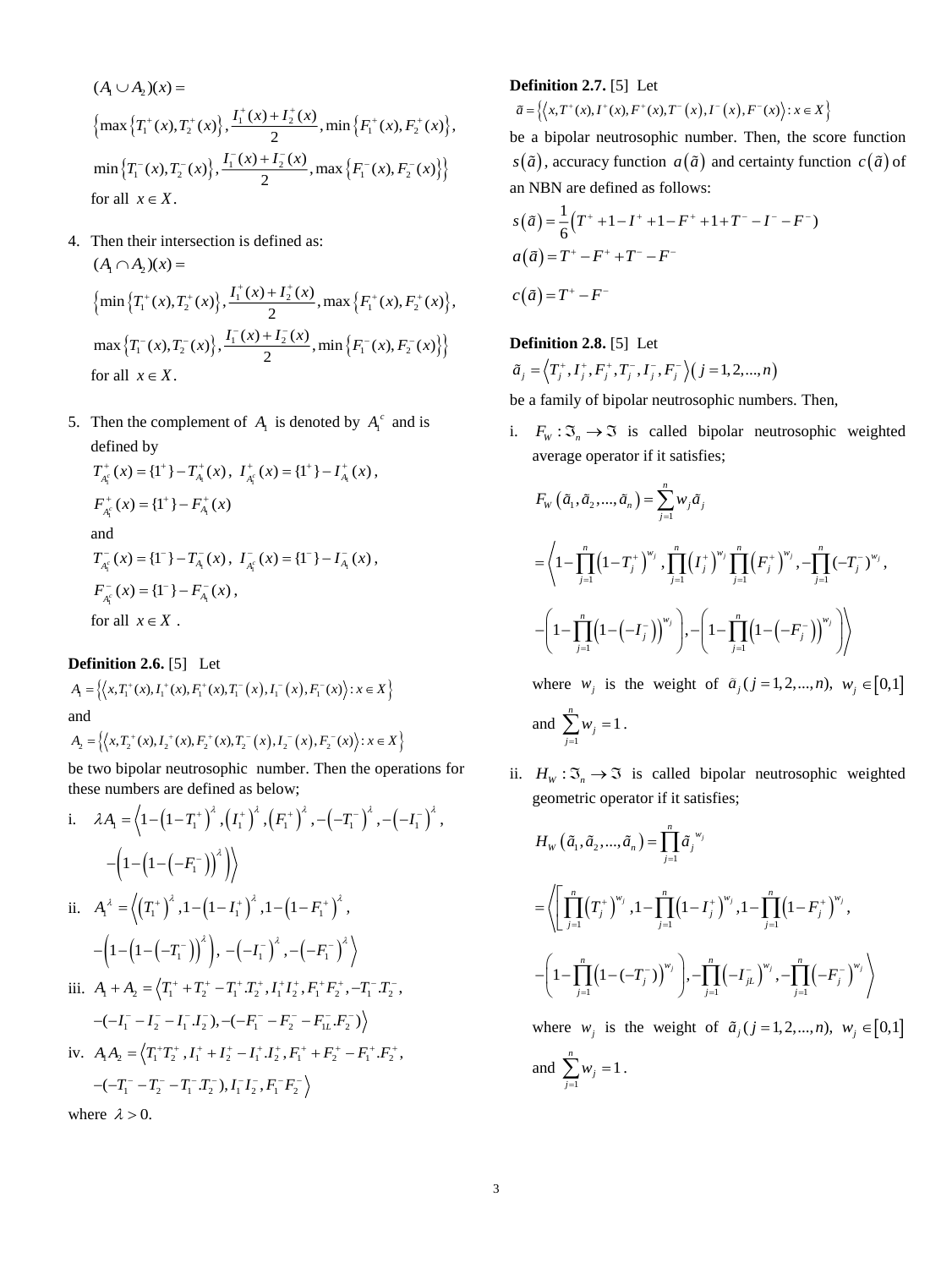$$
(A_1 \cup A_2)(x) =
$$
  
\n
$$
\left\{ \max \left\{ T_1^+(x), T_2^+(x) \right\}, \frac{I_1^+(x) + I_2^+(x)}{2}, \min \left\{ F_1^+(x), F_2^+(x) \right\}, \frac{\min \left\{ T_1^-(x), T_2^-(x) \right\}}{2}, \max \left\{ F_1^-(x), F_2^-(x) \right\} \right\}
$$
  
\nfor all  $x \in X$ .

- 4. Then their intersection is defined as:  $(A_1 \cap A_2)(x) =$  $\left\{\min\left\{T^+_1(x), T^+_2(x)\right\}, \frac{I^+_1(x) + I^+_2(x)}{2}, \max\left\{F^+_1(x), F^+_2(x)\right\},\right.$  $T_1^+(x)$ ,  $T_2^+(x)$ ,  $\frac{I_1^+(x) + I_2^+(x)}{I_1^+(x)}$ , max  $\{F_1^+(x)$ ,  $F_2^+(x)$  $\max\left\{T_1^-(x), T_2^-(x)\right\}, \frac{T_1^-(x) + T_2^-(x)}{2}, \min\left\{F_1^-(x), F_2^-(x)\right\}$  $T_1^-(x) \cdot T_2^-(x) \cdot \frac{I_1^-(x) + I_2^-(x)}{I_2^-(x)}$ , min  $\{F_1^-(x) \cdot F_2^-(x)$ for all  $x \in X$ .
- 5. Then the complement of  $A_1$  is denoted by  $A_1^c$  and is defined by

$$
T_{A_i^c}^+(x) = \{1^+\} - T_{A_i}^+(x), \quad I_{A_i^c}^+(x) = \{1^+\} - I_{A_i}^+(x),
$$
\n
$$
F_{A_i^c}^+(x) = \{1^+\} - F_{A_i}^+(x)
$$
\nand\n
$$
T_{A_i^c}^-(x) = \{1^-\} - T_{A_i}^-(x), \quad I_{A_i^c}^-(x) = \{1^-\} - I_{A_i}^-(x),
$$
\n
$$
F_{A_i^c}^-(x) = \{1^-\} - F_{A_i}^-(x),
$$
\nfor all  $x \in X$ .

**Definition 2.6.** [5] Let  $A_1 = \left\{ \left\langle x, T_1^+(x), I_1^+(x), F_1^+(x), T_1^-(x), I_1^-(x), F_1^-(x) \right\rangle : x \in X \right\}$ and

 $A_2 = \left\{ \left\langle x, T_2^+(x), I_2^+(x), F_2^+(x), T_2^-(x), I_2^-(x), F_2^-(x) \right\rangle : x \in X \right\}$ 

be two bipolar neutrosophic number. Then the operations for these numbers are defined as below;

i. 
$$
\lambda A_1 = \langle 1 - (1 - T_1^+)^{\lambda}, (I_1^+)^{\lambda}, (F_1^+)^{\lambda}, -(-T_1^-)^{\lambda}, -(-I_1^-)^{\lambda}, -(-I_1^-)^{\lambda}, -(-I_1^-)^{\lambda}, -(-I_1^-)^{\lambda}, 1 - (1 - I_1^+)^{\lambda}, 1 - (1 - F_1^+)^{\lambda}, -(-1 - (-I_1^-)^{\lambda}), -(-I_1^-)^{\lambda}, -(-F_1^-)^{\lambda}, -(-F_1^-)^{\lambda}, -(-I_1^- - I_1^- - I_2^- - I_1^+ - I_2^+ - I_1^+ - I_2^+ - I_1^+ - I_2^+ - I_1^- - I_2^- - I_1^- - I_2^- - I_1^- - I_2^- - I_1^- - I_2^- - I_1^- - I_2^+ - I_1^+ - I_2^+ - I_1^+ - I_2^+ - I_1^+ - I_2^+ - I_1^+ - I_2^+ - I_1^+ - I_2^+ - I_1^+ - I_2^+ - I_1^+ - I_2^+ - I_1^+ - I_2^+ - I_1^+ - I_2^+ - I_1^+ - I_2^+ - I_1^+ - I_2^+ - I_1^+ - I_2^+ - I_1^+ - I_2^+ - I_1^+ - I_2^+ - I_1^+ - I_2^+ - I_1^+ - I_2^+ - I_1^+ - I_2^+ - I_1^+ - I_2^+ - I_1^+ - I_2^+ - I_1^+ - I_2^+ - I_1^+ - I_2^+ - I_1^+ - I_2^+ - I_1^+ - I_2^+ - I_1^+ - I_2^+ - I_1^+ - I_2^+ - I_1^+ - I_2^+ - I_1^+ - I_2^+ - I_1^+ - I_2^+ - I_1^+ - I_2^+ - I_1^+ - I_2^+ - I_1^+ - I_2^+ - I_1^+ - I_2^+ - I_1^+ - I_2^+ - I_1^+ - I_2^+ - I_1^+ - I_2^+ - I_1^+ - I_2^+ - I_1^+ - I_2^+ - I_1^+ - I_2^+ - I_1^+ - I_2^+ - I_1^+ - I_2^+ - I_1^+ - I_2^+
$$

# **Definition 2.7.** [5] Let

$$
\widetilde{a} = \left\{ \left\langle x, T^+(x), I^+(x), F^+(x), T^-(x), I^-(x), F^-(x) \right\rangle : x \in X \right\}
$$

be a bipolar neutrosophic number. Then, the score function *s*( $\tilde{a}$ ), accuracy function  $a(\tilde{a})$  and certainty function  $c(\tilde{a})$  of an NBN are defined as follows:

$$
s(\tilde{a}) = \frac{1}{6}(T^+ + 1 - I^+ + 1 - F^+ + 1 + T^- - I^- - F^-)
$$
  
\n
$$
a(\tilde{a}) = T^+ - F^+ + T^- - F^-
$$
  
\n
$$
c(\tilde{a}) = T^+ - F^-
$$

# **Definition 2.8.** [5] Let

$$
\tilde{a}_j = \left\langle T_j^+, I_j^+, F_j^+, T_j^-, I_j^-, F_j^-\right\rangle \left( j = 1, 2, ..., n \right)
$$

be a family of bipolar neutrosophic numbers. Then,

i.  $F_w : \mathfrak{S}_n \to \mathfrak{S}$  is called bipolar neutrosophic weighted average operator if it satisfies;

$$
F_{w}(\tilde{a}_{1}, \tilde{a}_{2},..., \tilde{a}_{n}) = \sum_{j=1}^{n} w_{j} \tilde{a}_{j}
$$
  
=  $\left\langle 1 - \prod_{j=1}^{n} (1 - T_{j}^{+})^{w_{j}}, \prod_{j=1}^{n} (T_{j}^{+})^{w_{j}} \prod_{j=1}^{n} (F_{j}^{+})^{w_{j}}, -\prod_{j=1}^{n} (-T_{j}^{-})^{w_{j}}, -\left(1 - \prod_{j=1}^{n} (1 - (-T_{j}^{-}))^{w_{j}}\right)\right\rangle$ 

where  $w_j$  is the weight of  $\tilde{a}_j$  ( $j = 1, 2, ..., n$ ),  $w_j \in [0,1]$ and  $\sum_{i=1}$  $\sum_{i=1}^{n} w_i = 1$ ∠ '' *j*<br>*j* =1  $\sum w_j = 1$ .

ii.  $H_w : \mathfrak{I}_n \to \mathfrak{I}$  is called bipolar neutrosophic weighted geometric operator if it satisfies;

$$
H_{w} (\tilde{a}_{1}, \tilde{a}_{2},..., \tilde{a}_{n}) = \prod_{j=1}^{n} \tilde{a}_{j}^{w_{j}}
$$
  
=  $\left\langle \left[ \prod_{j=1}^{n} (T_{j}^{+})^{w_{j}}, 1 - \prod_{j=1}^{n} (1 - T_{j}^{+})^{w_{j}}, 1 - \prod_{j=1}^{n} (1 - F_{j}^{+})^{w_{j}}, \right. \\ \left. - \left( 1 - \prod_{j=1}^{n} (1 - (-T_{j}^{-}))^{w_{j}} \right), - \prod_{j=1}^{n} (-T_{jL}^{-})^{w_{j}}, - \prod_{j=1}^{n} (-F_{j}^{-})^{w_{j}} \right\rangle \right\}$ 

where  $w_j$  is the weight of  $\tilde{a}_j$  ( $j = 1, 2, ..., n$ ),  $w_j \in [0,1]$ and  $\sum_{i=1}$  $\sum_{i=1}^{n} w_i = 1$ ∠ ″ *j*<br>*j* =1 *w*  $\sum_{j=1} w_j = 1$ .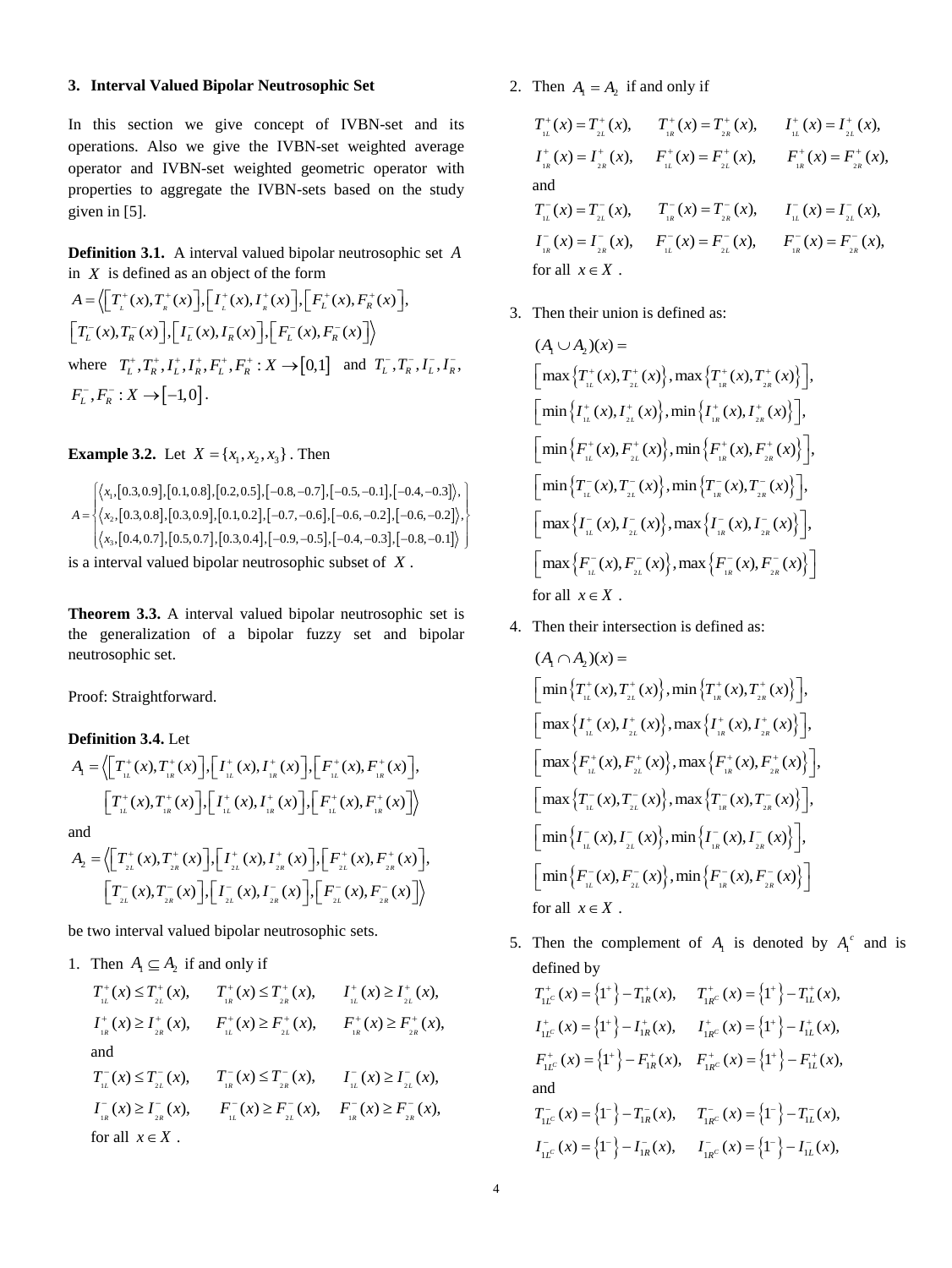#### **3. Interval Valued Bipolar Neutrosophic Set**

In this section we give concept of IVBN-set and its operations. Also we give the IVBN-set weighted average operator and IVBN-set weighted geometric operator with properties to aggregate the IVBN-sets based on the study given in [5].

**Definition 3.1.** A interval valued bipolar neutrosophic set *A* in *X* is defined as an object of the form

$$
A = \left\langle \left[ T_{\iota}^{+}(x), T_{\kappa}^{+}(x) \right], \left[ I_{\iota}^{+}(x), I_{\kappa}^{+}(x) \right], \left[ F_{L}^{+}(x), F_{R}^{+}(x) \right], \right\rangle
$$
  
\n
$$
\left[ T_{L}^{-}(x), T_{R}^{-}(x) \right], \left[ I_{L}^{-}(x), I_{R}^{-}(x) \right], \left[ F_{L}^{-}(x), F_{R}^{-}(x) \right] \right\rangle
$$
  
\nwhere  $T_{L}^{+}, T_{R}^{+}, I_{L}^{+}, I_{R}^{+}, F_{L}^{+}, F_{R}^{+}: X \rightarrow [0,1]$  and  $T_{L}^{-}, T_{R}^{-}, I_{L}^{-}, I_{R}^{-}, F_{L}^{-}, I_{R}^{-}, H_{L}^{-}, I_{R}^{-}$   
\n
$$
F_{L}^{-}, F_{R}^{-}: X \rightarrow [-1,0].
$$

**Example 3.2.** Let  $X = \{x_1, x_2, x_3\}$ . Then

$$
A = \begin{cases} \langle x_1, [0.3, 0.9], [0.1, 0.8], [0.2, 0.5], [-0.8, -0.7], [-0.5, -0.1], [-0.4, -0.3] \rangle, \\ \langle x_2, [0.3, 0.8], [0.3, 0.9], [0.1, 0.2], [-0.7, -0.6], [-0.6, -0.2], [-0.6, -0.2] \rangle, \\ \langle x_3, [0.4, 0.7], [0.5, 0.7], [0.3, 0.4], [-0.9, -0.5], [-0.4, -0.3], [-0.8, -0.1] \rangle \end{cases}
$$
is a interval valued bipolar neutrosophic subset of X.

**Theorem 3.3.** A interval valued bipolar neutrosophic set is the generalization of a bipolar fuzzy set and bipolar neutrosophic set.

Proof: Straightforward.

# **Definition 3.4.** Let

$$
A_{\rm I} = \left\langle \left[ T^+_{\rm IL}(x), T^+_{\rm IR}(x) \right], \left[ I^+_{\rm IL}(x), I^+_{\rm IR}(x) \right], \left[ F^+_{\rm IL}(x), F^+_{\rm IR}(x) \right],
$$

$$
\left[ T^+_{\rm IL}(x), T^+_{\rm IR}(x) \right], \left[ I^+_{\rm IL}(x), I^+_{\rm IR}(x) \right], \left[ F^+_{\rm IL}(x), F^+_{\rm IR}(x) \right] \right\rangle
$$

and

$$
A_2 = \left\langle \left[ T_{2L}^+(x), T_{2R}^+(x) \right], \left[ I_{2L}^+(x), I_{2R}^+(x) \right], \left[ F_{2L}^+(x), F_{2R}^+(x) \right], \left[ T_{2L}^-(x), T_{2R}^-(x) \right], \left[ I_{2L}^-(x), I_{2R}^-(x) \right], \left[ F_{2L}^-(x), F_{2R}^-(x) \right] \right\rangle
$$

be two interval valued bipolar neutrosophic sets.

1. Then  $A_1 \subseteq A_2$  if and only if

| $T_{\mu}^{+}(x) \leq T_{\mu}^{+}(x),$                                     | $T_{R}^{+}(x) \leq T_{2R}^{+}(x),$                                                                                                                  | $I_{\iota L}^+(x) \geq I_{\iota L}^+(x)$ ,      |
|---------------------------------------------------------------------------|-----------------------------------------------------------------------------------------------------------------------------------------------------|-------------------------------------------------|
| $I_{\frac{1}{2}}^{+}(x) \geq I_{\frac{2}{2R}}^{+}(x),$                    | $F_{1L}^+(x) \geq F_{2L}^+(x)$ ,                                                                                                                    | $F_{R}^{+}(x) \geq F_{2R}^{+}(x),$              |
| and                                                                       |                                                                                                                                                     |                                                 |
| $T_{\scriptscriptstyle\rm IL}^-(x) \leq T_{\scriptscriptstyle 2L}^-(x)$ , | $T_{\scriptscriptstyle{R}}^-(x) \leq T_{\scriptscriptstyle{2R}}^-(x), \qquad T_{\scriptscriptstyle{1L}}^-(x) \geq T_{\scriptscriptstyle{2L}}^-(x),$ |                                                 |
| $I_{R}^{-}(x) \geq I_{2R}^{-}(x),$                                        | $F_{\mu}^{-}(x) \geq F_{2\mu}^{-}(x),$                                                                                                              | $F_{\frac{1}{2R}}(x) \geq F_{\frac{2}{2R}}(x),$ |
| for all $x \in X$ .                                                       |                                                                                                                                                     |                                                 |
|                                                                           |                                                                                                                                                     |                                                 |

2. Then  $A_1 = A_2$  if and only if

$$
T_{iL}^{+}(x) = T_{2L}^{+}(x), \t T_{iR}^{+}(x) = T_{2R}^{+}(x), \t I_{iL}^{+}(x) = I_{2L}^{+}(x),
$$
  
\n
$$
I_{iR}^{+}(x) = I_{2R}^{+}(x), \t F_{iL}^{+}(x) = F_{2L}^{+}(x), \t F_{iR}^{+}(x) = F_{2R}^{+}(x),
$$
  
\nand  
\n
$$
T_{iL}^{-}(x) = T_{2L}^{-}(x), \t T_{iR}^{-}(x) = T_{2R}^{-}(x), \t I_{iL}^{-}(x) = I_{2L}^{-}(x),
$$
  
\n
$$
I_{iR}^{-}(x) = I_{2R}^{-}(x), \t F_{iL}^{-}(x) = F_{2L}^{-}(x), \t F_{iR}^{-}(x) = F_{2R}^{-}(x),
$$
  
\nfor all  $x \in X$ .

3. Then their union is defined as:

$$
(A_1 \cup A_2)(x) =
$$
\n
$$
\left[\max \left\{T_{i_L}^+(x), T_{i_L}^+(x)\right\}, \max \left\{T_{i_R}^+(x), T_{i_R}^+(x)\right\}\right],
$$
\n
$$
\left[\min \left\{I_{i_L}^+(x), I_{i_L}^+(x)\right\}, \min \left\{I_{i_R}^+(x), I_{i_R}^+(x)\right\}\right],
$$
\n
$$
\left[\min \left\{F_{i_L}^+(x), F_{i_L}^+(x)\right\}, \min \left\{F_{i_R}^+(x), F_{i_R}^+(x)\right\}\right],
$$
\n
$$
\left[\min \left\{T_{i_L}^-(x), T_{i_L}^-(x)\right\}, \min \left\{T_{i_R}^-(x), T_{i_R}^-(x)\right\}\right],
$$
\n
$$
\left[\max \left\{I_{i_L}^-(x), I_{i_L}^-(x)\right\}, \max \left\{I_{i_R}^-(x), I_{i_R}^-(x)\right\}\right],
$$
\n
$$
\left[\max \left\{F_{i_L}^-(x), F_{i_L}^-(x)\right\}, \max \left\{F_{i_R}^-(x), F_{i_R}^-(x)\right\}\right]
$$
\nfor all  $x \in X$ .

4. Then their intersection is defined as:

$$
(A_{1} \cap A_{2})(x) =
$$
\n
$$
\left[\min\left\{T_{i_{L}}^{+}(x), T_{i_{L}}^{+}(x)\right\}, \min\left\{T_{i_{R}}^{+}(x), T_{i_{R}}^{+}(x)\right\}\right],
$$
\n
$$
\left[\max\left\{I_{i_{L}}^{+}(x), I_{i_{L}}^{+}(x)\right\}, \max\left\{I_{i_{R}}^{+}(x), I_{i_{R}}^{+}(x)\right\}\right],
$$
\n
$$
\left[\max\left\{F_{i_{L}}^{+}(x), F_{i_{L}}^{+}(x)\right\}, \max\left\{F_{i_{R}}^{+}(x), F_{i_{R}}^{+}(x)\right\}\right],
$$
\n
$$
\left[\max\left\{T_{i_{L}}^{-}(x), T_{i_{L}}^{-}(x)\right\}, \max\left\{T_{i_{R}}^{-}(x), T_{i_{R}}^{-}(x)\right\}\right],
$$
\n
$$
\left[\min\left\{I_{i_{L}}^{-}(x), I_{i_{L}}^{-}(x)\right\}, \min\left\{I_{i_{R}}^{-}(x), I_{i_{R}}^{-}(x)\right\}\right],
$$
\n
$$
\left[\min\left\{F_{i_{L}}^{-}(x), F_{i_{L}}^{-}(x)\right\}, \min\left\{F_{i_{R}}^{-}(x), F_{i_{R}}^{-}(x)\right\}\right]
$$
\nfor all  $x \in X$ .

5. Then the complement of  $A_1$  is denoted by  $A_1^c$  and is defined by

$$
T_{1L^c}^+(x) = \left\{1^+\right\} - T_{1R}^+(x), \quad T_{1R}^+(x) = \left\{1^+\right\} - T_{1L}^+(x),
$$
  
\n
$$
I_{1L^c}^+(x) = \left\{1^+\right\} - I_{1R}^+(x), \quad I_{1R}^+(x) = \left\{1^+\right\} - I_{1L}^+(x),
$$
  
\n
$$
F_{1L^c}^+(x) = \left\{1^+\right\} - F_{1R}^+(x), \quad F_{1R}^+(x) = \left\{1^+\right\} - F_{1L}^+(x),
$$
  
\nand  
\n
$$
T_{1L^c}^-(x) = \left\{1^-\right\} - T_{1R}^-(x), \quad T_{1R}^-(x) = \left\{1^-\right\} - T_{1L}^-(x),
$$
  
\n
$$
I_{1L^c}^-(x) = \left\{1^-\right\} - I_{1R}^-(x), \quad I_{1R}^-(x) = \left\{1^-\right\} - I_{1L}^-(x),
$$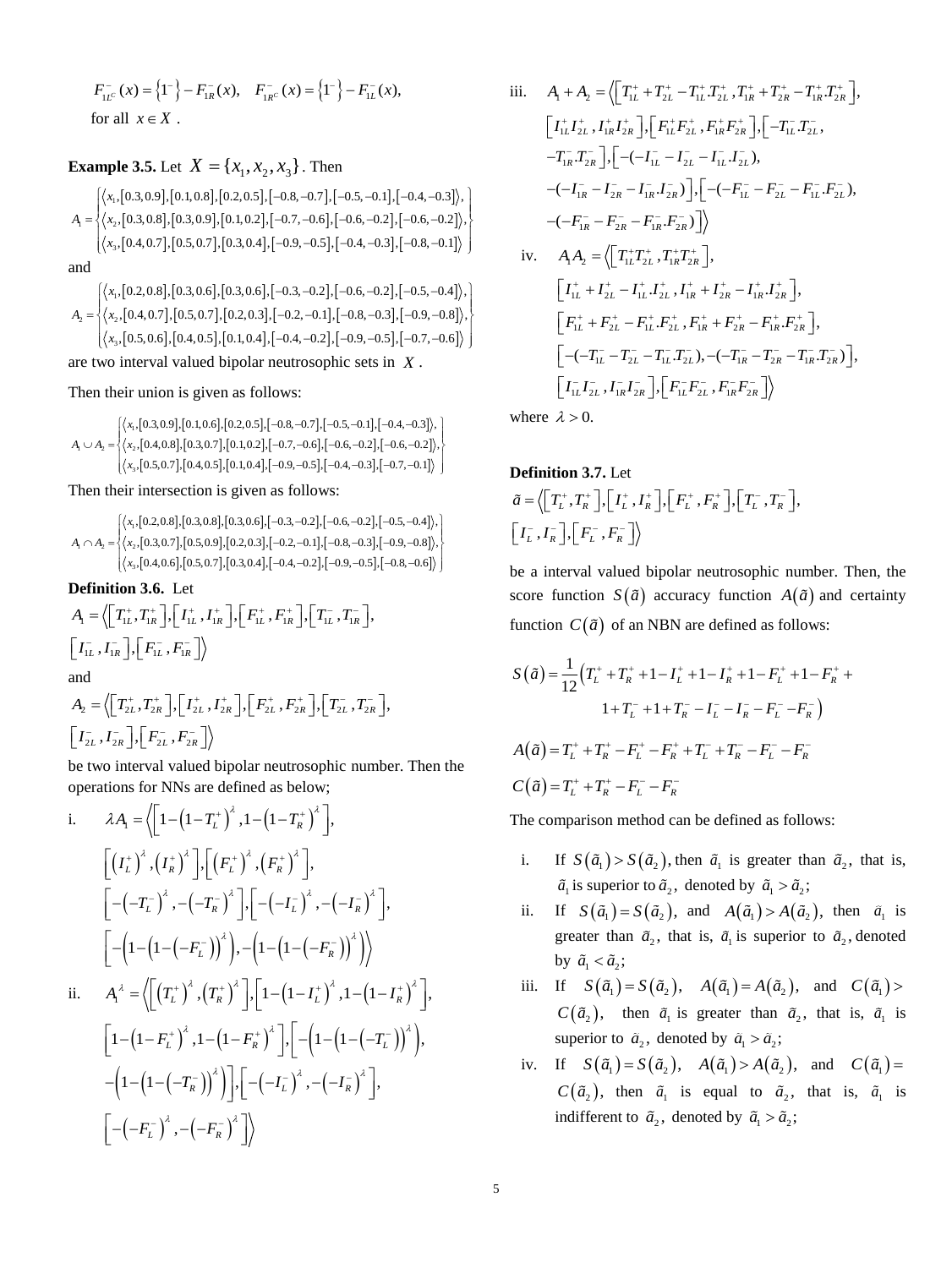$$
F_{1L^c}^-(x) = \left\{1^-\right\} - F_{1R}^-(x), \quad F_{1R^c}^-(x) = \left\{1^-\right\} - F_{1L}^-(x),
$$
  
for all  $x \in X$ .

# **Example 3.5.** Let  $X = \{x_1, x_2, x_3\}$ . Then

$$
A_{\rm I} = \begin{cases} \langle x_{\rm I}, [0.3, 0.9], [0.1, 0.8], [0.2, 0.5], [-0.8, -0.7], [-0.5, -0.1], [-0.4, -0.3] \rangle, \\ \langle x_{\rm 2}, [0.3, 0.8], [0.3, 0.9], [0.1, 0.2], [-0.7, -0.6], [-0.6, -0.2], [-0.6, -0.2] \rangle, \\ \langle x_{\rm s}, [0.4, 0.7], [0.5, 0.7], [0.3, 0.4], [-0.9, -0.5], [-0.4, -0.3], [-0.8, -0.1] \rangle \end{cases}
$$
 and

 $[0.2, 0.8], [0.3, 0.6], [0.3, 0.6], [-0.3, -0.2], [-0.6, -0.2], [-0.5, -0.4]$  $[0.4, 0.7], [0.5, 0.7], [0.2, 0.3], [-0.2, -0.1], [-0.8, -0.3], [-0.9, -0.8]$  $[0.5, 0.6], [0.4, 0.5], [0.1, 0.4], [-0.4, -0.2], [-0.9, -0.5], [-0.7, -0.6]$ 1 2 1 1 2 3 , 0.2, 0.8 , 0.3, 0.6 , 0.3, 0.6 , 0.3, -0.2 , 0.5, -0.2 , 0.5, -0.4  $\rangle$ , , 0.4, 0.7 , 0.5, 0.7 , 0.2, 0.3 , , -0.2, -0.1 , , -0.8, -0.3 , , -0.9, -0.8 , , , 0.5,0.6 , 0.4,0.5 , 0.1,0.4 , , -0.4, -0.2 , , -0.9, -0.5 , , -0.7, -0.6 *x*  $A_2 = \langle x \rangle$ *x*  $\left\{ \left\langle x_1, [0.2, 0.8], [0.3, 0.6], [0.3, 0.6], [-0.3, -0.2], [-0.6, -0.2], [-0.5, -0.4] \right\rangle, \right\}$  $= \left\{ \begin{array}{l} \langle x_2, [0.4, 0.7], [0.5, 0.7], [0.2, 0.3], [-0.2, -0.1], [-0.8, -0.3], [-0.9, -0.8] \rangle, \\ \langle x_3, [0.5, 0.6], [0.4, 0.5], [0.1, 0.4], [-0.4, -0.2], [-0.9, -0.5], [-0.7, -0.6] \rangle \end{array} \right\}$ 

are two interval valued bipolar neutrosophic sets in *<sup>X</sup>* .

Then their union is given as follows:

$$
A_{i} \cup A_{2} = \begin{cases} \langle x_{i}, [0.3, 0.9], [0.1, 0.6], [0.2, 0.5], [-0.8, -0.7], [-0.5, -0.1], [-0.4, -0.3] \rangle, \\ \langle x_{2}, [0.4, 0.8], [0.3, 0.7], [0.1, 0.2], [-0.7, -0.6], [-0.6, -0.2], [-0.6, -0.2] \rangle, \\ \langle x_{3}, [0.5, 0.7], [0.4, 0.5], [0.1, 0.4], [-0.9, -0.5], [-0.4, -0.3], [-0.7, -0.1] \rangle \end{cases}
$$

Then their intersection is given as follows:

$$
A_{i} \cap A_{2} = \n\begin{cases} \n\langle x_{i}, [0.2, 0.8], [0.3, 0.8], [0.3, 0.6], [-0.3, -0.2], [-0.6, -0.2], [-0.5, -0.4] \rangle, \\
\langle x_{2}, [0.3, 0.7], [0.5, 0.9], [0.2, 0.3], [-0.2, -0.1], [-0.8, -0.3], [-0.9, -0.8] \rangle, \\
\langle x_{3}, [0.4, 0.6], [0.5, 0.7], [0.3, 0.4], [-0.4, -0.2], [-0.9, -0.5], [-0.8, -0.6] \rangle\n\end{cases}
$$

**Definition 3.6.** Let

$$
A_{\rm I} = \langle \left[ T_{\rm IL}^+, T_{\rm IR}^+ \right], \left[ I_{\rm IL}^+, I_{\rm IR}^+ \right], \left[ F_{\rm IL}^+, F_{\rm IR}^+ \right], \left[ T_{\rm IL}^-, T_{\rm IR}^- \right],
$$
  
\n
$$
\left[ I_{\rm IL}^-, I_{\rm IR}^- \right], \left[ F_{\rm IL}^-, F_{\rm IR}^- \right] \rangle
$$

and

$$
A_2 = \left\langle \begin{bmatrix} T_{2L}^+, T_{2R}^+ \end{bmatrix}, \begin{bmatrix} I_{2L}^+, I_{2R}^+ \end{bmatrix}, \begin{bmatrix} F_{2L}^+, F_{2R}^+ \end{bmatrix}, \begin{bmatrix} T_{2L}^-, T_{2R}^- \end{bmatrix}, \begin{bmatrix} I_{2L}^-, I_{2R}^- \end{bmatrix}, \begin{bmatrix} I_{2L}^-, I_{2R}^- \end{bmatrix} \right\rangle
$$

be two interval valued bipolar neutrosophic number. Then the operations for NNs are defined as below;

i. 
$$
\lambda A_i = \left\langle \left[ 1 - \left( 1 - T_L^+ \right)^{\lambda}, 1 - \left( 1 - T_R^+ \right)^{\lambda} \right], \right\rangle
$$
  
\n
$$
\left[ \left( I_L^+ \right)^{\lambda}, \left( I_R^+ \right)^{\lambda} \right], \left[ \left( F_L^+ \right)^{\lambda}, \left( F_R^+ \right)^{\lambda} \right],
$$
\n
$$
\left[ - \left( -T_L^- \right)^{\lambda}, - \left( -T_R^- \right)^{\lambda} \right], \left[ - \left( -I_L^- \right)^{\lambda}, - \left( -I_R^- \right)^{\lambda} \right],
$$
\n
$$
\left[ - \left( 1 - \left( 1 - (-F_L^-) \right)^{\lambda} \right), - \left( 1 - \left( 1 - (-F_R^-) \right)^{\lambda} \right) \right\rangle
$$
\nii.  $A_i^{\lambda} = \left\langle \left[ \left( T_L^+ \right)^{\lambda}, \left( T_R^+ \right)^{\lambda} \right], \left[ 1 - \left( 1 - I_L^+ \right)^{\lambda}, 1 - \left( 1 - I_R^+ \right)^{\lambda} \right], \left[ 1 - \left( 1 - (-F_L^-) \right)^{\lambda}, - \left( 1 - (-F_L^-) \right)^{\lambda} \right], - \left( 1 - \left( 1 - (-T_R^-) \right)^{\lambda} \right) \right], \left[ - \left( -I_L^- \right)^{\lambda}, - \left( -I_R^- \right)^{\lambda} \right],$ \n
$$
\left[ - \left( -F_L^- \right)^{\lambda}, - \left( -F_R^- \right)^{\lambda} \right] \right\rangle
$$

iii. 
$$
A_1 + A_2 = \langle \left[ T_{1L}^+ + T_{2L}^+ - T_{1L}^+ T_{2L}^+ , T_{1R}^+ + T_{2R}^+ - T_{1R}^+ T_{2R}^+ \right],
$$
  
\n $\left[ I_{1L}^+ I_{2L}^+, I_{1R}^+ I_{2R}^+ \right], \left[ F_{1L}^+ F_{2L}^+, F_{1R}^+ F_{2R}^+ \right], \left[ -T_{1L}^- T_{2L}^- ,$   
\n $-T_{1R}^- \cdot T_{2R}^- \right], \left[ -(-I_{1L}^- - I_{2L}^- - I_{1L}^- I_{2L}^-),$   
\n $-(-I_{1R}^- - I_{2R}^- - I_{1R}^- I_{2R}^-) \right], \left[ -(-F_{1L}^- - F_{2L}^- - F_{1L}^- \cdot F_{2L}^-),$   
\n $-(-F_{1R}^- - F_{2R}^- - F_{1R}^- \cdot F_{2R}^-) \right] \rangle$   
\niv.  $A_1 A_2 = \langle \left[ T_{1L}^+ T_{2L}^+, T_{1R}^+ T_{2R}^+ \right],$   
\n $\left[ I_{1L}^+ + I_{2L}^+ - I_{1L}^+ I_{2L}^+ , I_{1R}^+ + I_{2R}^+ - I_{1R}^+ I_{2R}^+ \right],$   
\n $\left[ F_{1L}^+ + F_{2L}^+ - F_{1L}^+ \cdot F_{2L}^+ , F_{1R}^+ + F_{2R}^- - F_{1R}^+ \cdot F_{2R}^+ \right],$   
\n $\left[ -(-T_{1L}^- - T_{2L}^- - T_{1L}^- T_{2L}^-), -(-T_{1R}^- - T_{2R}^- - T_{1R}^- T_{2R}^-) \right],$   
\n $\left[ I_{1L}^- I_{2L}^- , I_{1R}^- I_{2R}^- \right], \left[ F_{1L}^- F_{2L}^- , F_{1R}^- F_{2R}^- \right] \rangle$ 

where  $\lambda > 0$ .

**Definition 3.7.** Let  
\n
$$
\tilde{a} = \langle \left[T_L^+, T_R^+\right], \left[I_L^+, I_R^+\right], \left[F_L^+, F_R^+\right], \left[T_L^-, T_R^-\right], \left[I_L^-, I_R^-\right], \left[F_L^-, F_R^-\right]\rangle
$$

be a interval valued bipolar neutrosophic number. Then, the score function  $S(\tilde{a})$  accuracy function  $A(\tilde{a})$  and certainty function  $C(\tilde{a})$  of an NBN are defined as follows:

$$
S(\tilde{a}) = \frac{1}{12} \Big( T_L^+ + T_R^+ + 1 - I_L^+ + 1 - I_R^+ + 1 - F_L^+ + 1 - F_R^+ + 1 + T_L^- + 1 + T_R^- - I_L^- - I_R^- - F_L^- - F_R^- \Big)
$$
  

$$
A(\tilde{a}) = T_L^+ + T_R^+ - F_L^+ - F_R^+ + T_L^- + T_R^- - F_L^- - F_R^-
$$
  

$$
C(\tilde{a}) = T_L^+ + T_R^+ - F_L^- - F_R^-
$$

The comparison method can be defined as follows:

- i. If  $S(\tilde{a}_1) > S(\tilde{a}_2)$ , then  $\tilde{a}_1$  is greater than  $\tilde{a}_2$ , that is,  $\tilde{a}_1$  is superior to  $\tilde{a}_2$ , denoted by  $\tilde{a}_1 > \tilde{a}_2$ ;
- ii.  $S(\tilde{a}_1) = S(\tilde{a}_2)$ , and  $A(\tilde{a}_1) > A(\tilde{a}_2)$ , then  $\tilde{a}_1$  is greater than  $\tilde{a}_2$ , that is,  $\tilde{a}_1$  is superior to  $\tilde{a}_2$ , denoted by  $\tilde{a}_1 < \tilde{a}_2$ ;
- iii. If  $S(\tilde{a}_1) = S(\tilde{a}_2)$ ,  $A(\tilde{a}_1) = A(\tilde{a}_2)$ , and  $C(\tilde{a}_1) >$  $C(\tilde{a}_2)$ , then  $\tilde{a}_1$  is greater than  $\tilde{a}_2$ , that is,  $\tilde{a}_1$  is superior to  $\tilde{a}_2$ , denoted by  $\tilde{a}_1 > \tilde{a}_2$ ;
- iv. If  $S(\tilde{a}_1) = S(\tilde{a}_2)$ ,  $A(\tilde{a}_1) > A(\tilde{a}_2)$ , and  $C(\tilde{a}_1) =$  $C(\tilde{a}_2)$ , then  $\tilde{a}_1$  is equal to  $\tilde{a}_2$ , that is,  $\tilde{a}_1$  is indifferent to  $\tilde{a}_2$ , denoted by  $\tilde{a}_1 > \tilde{a}_2$ ;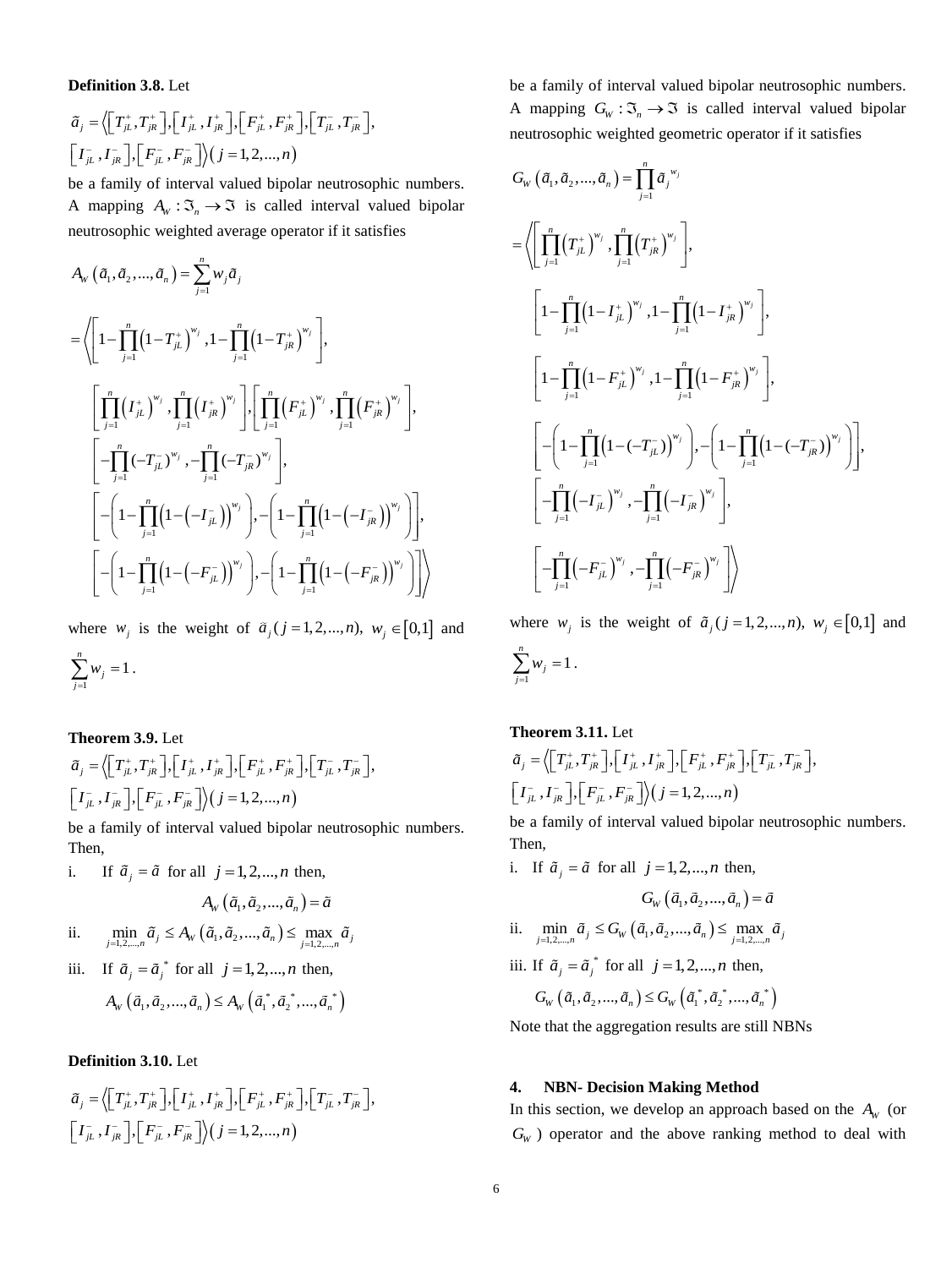# **Definition 3.8.** Let

$$
\tilde{a}_{j} = \Big\langle \Big[T_{jL}^{+}, T_{jR}^{+}\Big], \Big[T_{jL}^{+}, I_{jR}^{+}\Big], \Big[F_{jL}^{+}, F_{jR}^{+}\Big], \Big[T_{jL}^{-}, T_{jR}^{-}\Big],
$$
  

$$
\Big[T_{jL}^{-}, I_{jR}^{-}\Big], \Big[F_{jL}^{-}, F_{jR}^{-}\Big]\Big\rangle \Big(j=1, 2, ..., n\Big)
$$

be a family of interval valued bipolar neutrosophic numbers. A mapping  $A_W : \mathfrak{I}_n \to \mathfrak{I}$  is called interval valued bipolar neutrosophic weighted average operator if it satisfies

$$
A_{w} (\tilde{a}_{1}, \tilde{a}_{2}, ..., \tilde{a}_{n}) = \sum_{j=1}^{n} w_{j} \tilde{a}_{j}
$$
\n
$$
= \left\langle \left[ 1 - \prod_{j=1}^{n} (1 - T_{jL}^{+})^{w_{j}}, 1 - \prod_{j=1}^{n} (1 - T_{jR}^{+})^{w_{j}} \right], \left[ \prod_{j=1}^{n} (F_{jL}^{+})^{w_{j}}, \prod_{j=1}^{n} (F_{jR}^{+})^{w_{j}} \right], \left[ \prod_{j=1}^{n} (F_{jR}^{+})^{w_{j}} \right], \left[ -\prod_{j=1}^{n} (-T_{jL}^{-})^{w_{j}}, -\prod_{j=1}^{n} (-T_{jR}^{-})^{w_{j}} \right], \left[ -\left( 1 - \prod_{j=1}^{n} (1 - (-T_{jL}^{-}))^{w_{j}} \right), -\left( 1 - \prod_{j=1}^{n} (1 - (-T_{jR}^{-}))^{w_{j}} \right) \right], \left[ -\left( 1 - \prod_{j=1}^{n} (1 - (-F_{jL}^{-}))^{w_{j}} \right), -\left( 1 - \prod_{j=1}^{n} (1 - (-F_{jR}^{-}))^{w_{j}} \right) \right] \right\rangle
$$

where  $w_j$  is the weight of  $\tilde{a}_j$  ( $j = 1, 2, ..., n$ ),  $w_j \in [0,1]$  and

$$
\sum_{j=1}^n w_j = 1.
$$

**Theorem 3.9.** Let  
\n
$$
\tilde{a}_{j} = \langle \left[ T^{+}_{jL}, T^{+}_{jR} \right], \left[ I^{+}_{jL}, I^{+}_{jR} \right], \left[ F^{+}_{jL}, F^{+}_{jR} \right], \left[ T^{-}_{jL}, T^{-}_{jR} \right], \left[ T^{-}_{jL}, I^{-}_{jR} \right], \left[ F^{-}_{jL}, F^{-}_{jR} \right] \rangle (j = 1, 2, ..., n)
$$

be a family of interval valued bipolar neutrosophic numbers. Then,

i. If  $\tilde{a}_j = \tilde{a}$  for all  $j = 1, 2, ..., n$  then,

$$
A_{W}\left(\tilde{a}_{1},\tilde{a}_{2},...,\tilde{a}_{n}\right)=\tilde{a}
$$

ii. 
$$
\min_{j=1,2,...,n} \tilde{a}_j \le A_w \left( \tilde{a}_1, \tilde{a}_2, \dots, \tilde{a}_n \right) \le \max_{j=1,2,...,n} \tilde{a}_j
$$

iii. If  $\tilde{a}_j = \tilde{a}_j^*$  for all  $j = 1, 2, ..., n$  then,  $A_W\left(\tilde{a}_1, \tilde{a}_2, ..., \tilde{a}_n\right) \leq A_W\left(\tilde{a}_1^*, \tilde{a}_2^*, ..., \tilde{a}_n^*\right)$ 

# **Definition 3.10.** Let

$$
\tilde{a}_{j} = \Big\langle \Big[T_{jL}^{+}, T_{jR}^{+}\Big], \Big[I_{jL}^{+}, I_{jR}^{+}\Big], \Big[F_{jL}^{+}, F_{jR}^{+}\Big], \Big[T_{jL}^{-}, T_{jR}^{-}\Big],
$$
  

$$
\Big[I_{jL}^{-}, I_{jR}^{-}\Big], \Big[F_{jL}^{-}, F_{jR}^{-}\Big]\Big\rangle \Big(j=1, 2, ..., n\Big)
$$

be a family of interval valued bipolar neutrosophic numbers. A mapping  $G_w : \mathfrak{I}_n \to \mathfrak{I}$  is called interval valued bipolar neutrosophic weighted geometric operator if it satisfies

$$
G_{w}(\tilde{a}_{1}, \tilde{a}_{2},..., \tilde{a}_{n}) = \prod_{j=1}^{n} \tilde{a}_{j}^{w_{j}}
$$
\n
$$
= \left\langle \left[ \prod_{j=1}^{n} (T_{jL}^{+})^{w_{j}}, \prod_{j=1}^{n} (T_{jR}^{+})^{w_{j}} \right], \left[ 1 - \prod_{j=1}^{n} (1 - I_{jL}^{+})^{w_{j}}, 1 - \prod_{j=1}^{n} (1 - I_{jR}^{+})^{w_{j}} \right], \left[ 1 - \prod_{j=1}^{n} (1 - F_{jL}^{+})^{w_{j}}, 1 - \prod_{j=1}^{n} (1 - F_{jR}^{+})^{w_{j}} \right], \left[ - \left( 1 - \prod_{j=1}^{n} (1 - (-T_{jL}^{-}))^{w_{j}} \right), - \left( 1 - \prod_{j=1}^{n} (1 - (-T_{jR}^{-}))^{w_{j}} \right) \right], \left[ - \prod_{j=1}^{n} (-I_{jL}^{-})^{w_{j}}, - \prod_{j=1}^{n} (-I_{jR}^{-})^{w_{j}} \right], \left[ - \prod_{j=1}^{n} (-F_{jL}^{-})^{w_{j}}, - \prod_{j=1}^{n} (-F_{jR}^{-})^{w_{j}} \right] \right\rangle
$$

where  $w_j$  is the weight of  $\tilde{a}_j$  ( $j = 1, 2, ..., n$ ),  $w_j \in [0,1]$  and 1  $\sum_{i=1}^{n} w_i = 1$ ∠ '' *j*<br>*j* =1 *w*  $\sum_{i=1} w_i = 1$ .

# **Theorem 3.11.** Let

$$
\tilde{a}_{j} = \left\langle \left[ T^{+}_{jL}, T^{+}_{jR} \right], \left[ I^{+}_{jL}, I^{+}_{jR} \right], \left[ F^{+}_{jL}, F^{+}_{jR} \right], \left[ T^{-}_{jL}, T^{-}_{jR} \right],
$$
\n
$$
\left[ I^{-}_{jL}, I^{-}_{jR} \right], \left[ F^{-}_{jL}, F^{-}_{jR} \right] \right\rangle (j = 1, 2, ..., n)
$$

be a family of interval valued bipolar neutrosophic numbers. Then,

- i. If  $\tilde{a}_j = \tilde{a}$  for all  $j = 1, 2, ..., n$  then,  $G_W(\tilde{a}_1, \tilde{a}_2, ..., \tilde{a}_n) = \tilde{a}$
- ii.  $\min_{j=1,2,...,n} \tilde{a}_j \le G_{\mathsf{W}}(\tilde{a}_1, \tilde{a}_2, ..., \tilde{a}_n) \le \max_{j=1,2,...,n} \tilde{a}_j$
- iii. If  $\tilde{a}_j = \tilde{a}_j^*$  for all  $j = 1, 2, ..., n$  then,

$$
G_{\mathrm{W}}\left(\tilde{a}_{1},\tilde{a}_{2},...,\tilde{a}_{n}\right) \leq G_{\mathrm{W}}\left(\tilde{a}_{1}^{*},\tilde{a}_{2}^{*},...,\tilde{a}_{n}^{*}\right)
$$

Note that the aggregation results are still NBNs

# **4. NBN- Decision Making Method**

In this section, we develop an approach based on the  $A_W$  (or  $G_W$ ) operator and the above ranking method to deal with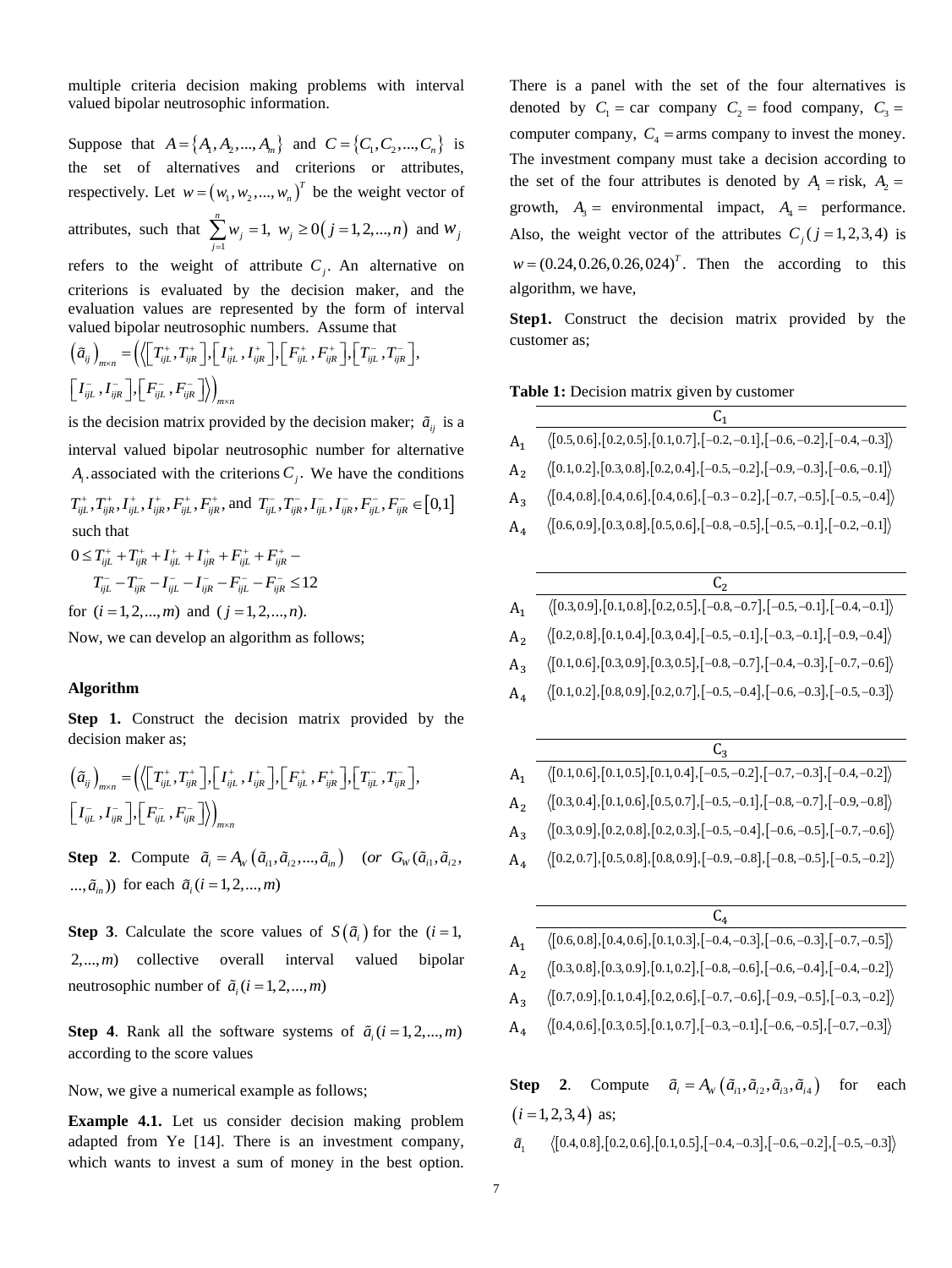multiple criteria decision making problems with interval valued bipolar neutrosophic information.

Suppose that  $A = \{A_1, A_2, ..., A_m\}$  and  $C = \{C_1, C_2, ..., C_n\}$  is the set of alternatives and criterions or attributes, respectively. Let  $w = (w_1, w_2, ..., w_n)^T$  be the weight vector of attributes, such that  $\sum_{i=1}^{n}$  $\sum_{i=1}^{n} w_i = 1$ *j j w*  $\sum_{j=1}^{n} w_j = 1$ ,  $w_j \ge 0$  (*j* = 1, 2, ..., *n*) and  $w_j$ refers to the weight of attribute  $C_j$ . An alternative on

criterions is evaluated by the decision maker, and the evaluation values are represented by the form of interval valued bipolar neutrosophic numbers. Assume that

$$
\left(\tilde{a}_{ij}\right)_{m\times n} = \left(\left\langle \begin{bmatrix} T_{ijL}^+, T_{ijk}^+ \end{bmatrix}, \begin{bmatrix} I_{ijL}^+, I_{ijk}^+ \end{bmatrix}, \begin{bmatrix} F_{ijL}^+, F_{ijk}^+ \end{bmatrix}, \begin{bmatrix} T_{ijL}^-, T_{ijk}^- \end{bmatrix}, \begin{bmatrix} I_{ijL}^-, I_{ijk}^- \end{bmatrix}, \begin{bmatrix} F_{ijL}^-, F_{ijk}^- \end{bmatrix}\right\rangle
$$

is the decision matrix provided by the decision maker;  $\tilde{a}_{ij}$  is a interval valued bipolar neutrosophic number for alternative  $A_i$  associated with the criterions  $C_j$ . We have the conditions

 $T_{ijL}^+, T_{ijk}^+, I_{ijL}^+, I_{ijk}^+, F_{ijL}^+, F_{ijk}^+$ , and  $T_{ijL}^-, T_{ijk}^-, I_{ijL}^-, I_{ijk}^-, F_{ijL}^-, F_{ijk}^- \in [0,1]$ such that

$$
0 \le T_{ijL}^+ + T_{ijk}^+ + I_{ijL}^+ + I_{ijk}^+ + F_{ijL}^+ + F_{ijk}^- -
$$
  

$$
T_{ijL}^- - T_{ijR}^- - I_{ijL}^- - I_{ijk}^- - F_{ijL}^- - F_{ijk}^- \le 12
$$

for  $(i = 1, 2, ..., m)$  and  $(j = 1, 2, ..., n)$ .

Now, we can develop an algorithm as follows;

#### **Algorithm**

**Step 1.** Construct the decision matrix provided by the decision maker as;

$$
\left(\tilde{a}_{ij}\right)_{m\times n} = \left(\left\langle \begin{bmatrix} T_{ijL}^+, T_{ijR}^+ \end{bmatrix}, \begin{bmatrix} I_{ijL}^+, I_{ijR}^+ \end{bmatrix}, \begin{bmatrix} F_{ijL}^+, F_{ijk}^+ \end{bmatrix}, \begin{bmatrix} T_{ijL}^-, T_{ijk}^- \end{bmatrix}, \begin{bmatrix} I_{ijL}^-, I_{ijk}^- \end{bmatrix}\right],
$$
  

$$
\left[\begin{bmatrix} I_{ijL}^-, I_{ijk}^- \end{bmatrix}, \begin{bmatrix} F_{ijL}^-, F_{ijk}^- \end{bmatrix}\right\rangle_{m\times n}
$$

**Step 2.** Compute  $\tilde{a}_i = A_w(\tilde{a}_{i1}, \tilde{a}_{i2},..., \tilde{a}_{in})$  (or  $G_w(\tilde{a}_{i1}, \tilde{a}_{i2}, ...)$ ...,  $\tilde{a}_{i}$  (*i* = 1, 2, ..., *m*)

**Step 3**. Calculate the score values of  $S(\tilde{a}_i)$  for the  $(i = 1,$ 2,...,*m*) collective overall interval valued bipolar neutrosophic number of  $\tilde{a}_i$  (*i* = 1, 2, ..., *m*)

**Step 4.** Rank all the software systems of  $\tilde{a}_i$  (*i* = 1, 2, ..., *m*) according to the score values

Now, we give a numerical example as follows;

**Example 4.1.** Let us consider decision making problem adapted from Ye [14]. There is an investment company, which wants to invest a sum of money in the best option. There is a panel with the set of the four alternatives is denoted by  $C_1 = \text{car company } C_2 = \text{food company } C_3 =$ computer company,  $C_4$  = arms company to invest the money. The investment company must take a decision according to the set of the four attributes is denoted by  $A_1 =$  risk,  $A_2 =$ growth,  $A_3$  = environmental impact,  $A_4$  = performance. Also, the weight vector of the attributes  $C_j$  ( $j = 1, 2, 3, 4$ ) is  $w = (0.24, 0.26, 0.26, 0.24)^T$ . Then the according to this algorithm, we have,

**Step1.** Construct the decision matrix provided by the customer as;

 $\overline{a}$ 

| Table 1: Decision matrix given by customer |  |  |  |
|--------------------------------------------|--|--|--|
|--------------------------------------------|--|--|--|

| $A_1$   | $\langle [0.5, 0.6], [0.2, 0.5], [0.1, 0.7], [-0.2, -0.1], [-0.6, -0.2], [-0.4, -0.3] \rangle$                                                        |
|---------|-------------------------------------------------------------------------------------------------------------------------------------------------------|
| $A_{2}$ | $\big\langle \big[0.1, 0.2\big], \big[0.3, 0.8\big], \big[0.2, 0.4\big], \big[-0.5, -0.2\big], \big[-0.9, -0.3\big], \big[-0.6, -0.1\big]\big\rangle$ |
| $A_3$   | $\big\langle \big[0.4, 0.8\big], \big[0.4, 0.6\big], \big[0.4, 0.6\big], \big[-0.3 - 0.2\big], \big[-0.7, -0.5\big], \big[-0.5, -0.4\big]\big\rangle$ |
| A4      | $\big\langle \big[0.6, 0.9\big], \big[0.3, 0.8\big], \big[0.5, 0.6\big], \big[-0.8, -0.5\big], \big[-0.5, -0.1\big], \big[-0.2, -0.1\big]\big\rangle$ |
|         |                                                                                                                                                       |
|         |                                                                                                                                                       |
|         |                                                                                                                                                       |
|         |                                                                                                                                                       |

| $A_1$          | $\langle [0.3, 0.9], [0.1, 0.8], [0.2, 0.5], [-0.8, -0.7], [-0.5, -0.1], [-0.4, -0.1] \rangle$                                                                                          |
|----------------|-----------------------------------------------------------------------------------------------------------------------------------------------------------------------------------------|
| A <sub>2</sub> | $\langle [0.2, 0.8], [0.1, 0.4], [0.3, 0.4], [-0.5, -0.1], [-0.3, -0.1], [-0.9, -0.4] \rangle$                                                                                          |
| $A_3$          | $\langle [0.1, 0.6], [0.3, 0.9], [0.3, 0.5], [-0.8, -0.7], [-0.4, -0.3], [-0.7, -0.6] \rangle$                                                                                          |
| $A_4$          | $\langle [0.1, 0.2], [0.8, 0.9], [0.2, 0.7], [-0.5, -0.4], [-0.6, -0.3], [-0.5, -0.3] \rangle$                                                                                          |
|                |                                                                                                                                                                                         |
|                |                                                                                                                                                                                         |
|                | $C_{3}$                                                                                                                                                                                 |
| A <sub>1</sub> | $\langle [0.1, 0.6], [0.1, 0.5], [0.1, 0.4], [-0.5, -0.2], [-0.7, -0.3], [-0.4, -0.2] \rangle$                                                                                          |
| A <sub>2</sub> |                                                                                                                                                                                         |
| $A_3$          | $\langle [0.3, 0.4], [0.1, 0.6], [0.5, 0.7], [-0.5, -0.1], [-0.8, -0.7], [-0.9, -0.8] \rangle$<br>$\langle$ [0.3,0.9],[0.2,0.8],[0.2,0.3],[-0.5,-0.4],[-0.6,-0.5],[-0.7,-0.6] $\rangle$ |
| $A_4$          | $\langle [0.2, 0.7], [0.5, 0.8], [0.8, 0.9], [-0.9, -0.8], [-0.8, -0.5], [-0.5, -0.2] \rangle$                                                                                          |

|         | C4                                                                                                                                                    |
|---------|-------------------------------------------------------------------------------------------------------------------------------------------------------|
| $A_{1}$ | $\big\langle \big[0.6, 0.8\big], \big[0.4, 0.6\big], \big[0.1, 0.3\big], \big[-0.4, -0.3\big], \big[-0.6, -0.3\big], \big[-0.7, -0.5\big]\big\rangle$ |
| A,      | $\big\langle \big[0.3, 0.8\big], \big[0.3, 0.9\big], \big[0.1, 0.2\big], \big[-0.8, -0.6\big], \big[-0.6, -0.4\big], \big[-0.4, -0.2\big]\big\rangle$ |
| $A_{2}$ | $\big\langle \big[0.7,0.9\big], \big[0.1,0.4\big], \big[0.2,0.6\big], \big[-0.7,-0.6\big], \big[-0.9,-0.5\big], \big[-0.3,-0.2\big]\big\rangle$       |
| $A_4$   | $\big\langle \big[0.4, 0.6\big], \big[0.3, 0.5\big], \big[0.1, 0.7\big], \big[-0.3, -0.1\big], \big[-0.6, -0.5\big], \big[-0.7, -0.3\big]\big\rangle$ |
|         |                                                                                                                                                       |
|         |                                                                                                                                                       |

**Step** 2. Compute  $\tilde{a}_i = A_w \left( \tilde{a}_{i1}, \tilde{a}_{i2}, \tilde{a}_{i3}, \tilde{a}_{i4} \right)$ for each  $(i = 1, 2, 3, 4)$  as;

 $\tilde{a}$   $\langle [0.4, 0.8], [0.2, 0.6], [0.1, 0.5], [-0.4, -0.3], [-0.6, -0.2], [-0.5, -0.3] \rangle$